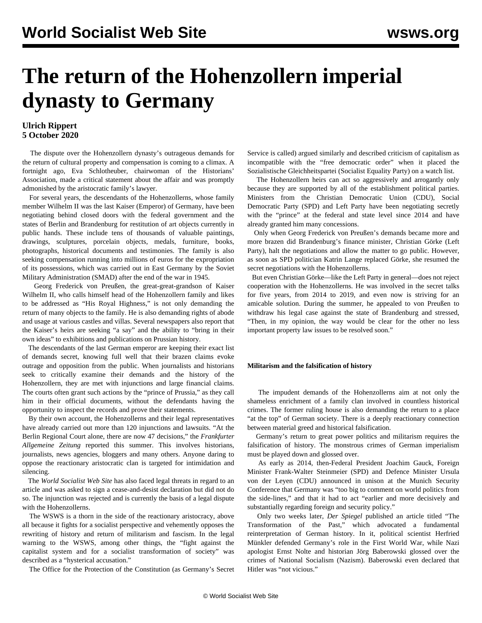# **The return of the Hohenzollern imperial dynasty to Germany**

### **Ulrich Rippert 5 October 2020**

 The dispute over the Hohenzollern dynasty's outrageous demands for the return of cultural property and compensation is coming to a climax. A fortnight ago, Eva Schlotheuber, chairwoman of the Historians' Association, made a critical statement about the affair and was promptly admonished by the aristocratic family's lawyer.

 For several years, the descendants of the Hohenzollerns, whose family member Wilhelm II was the last Kaiser (Emperor) of Germany, have been negotiating behind closed doors with the federal government and the states of Berlin and Brandenburg for restitution of art objects currently in public hands. These include tens of thousands of valuable paintings, drawings, sculptures, porcelain objects, medals, furniture, books, photographs, historical documents and testimonies. The family is also seeking compensation running into millions of euros for the expropriation of its possessions, which was carried out in East Germany by the Soviet Military Administration (SMAD) after the end of the war in 1945.

 Georg Frederick von Preußen, the great-great-grandson of Kaiser Wilhelm II, who calls himself head of the Hohenzollern family and likes to be addressed as "His Royal Highness," is not only demanding the return of many objects to the family. He is also demanding rights of abode and usage at various castles and villas. Several newspapers also report that the Kaiser's heirs are seeking "a say" and the ability to "bring in their own ideas" to exhibitions and publications on Prussian history.

 The descendants of the last German emperor are keeping their exact list of demands secret, knowing full well that their brazen claims evoke outrage and opposition from the public. When journalists and historians seek to critically examine their demands and the history of the Hohenzollern, they are met with injunctions and large financial claims. The courts often grant such actions by the "prince of Prussia," as they call him in their official documents, without the defendants having the opportunity to inspect the records and prove their statements.

 By their own account, the Hohenzollerns and their legal representatives have already carried out more than 120 injunctions and lawsuits. "At the Berlin Regional Court alone, there are now 47 decisions," the *Frankfurter Allgemeine Zeitung* reported this summer. This involves historians, journalists, news agencies, bloggers and many others. Anyone daring to oppose the reactionary aristocratic clan is targeted for intimidation and silencing.

 The *World Socialist Web Site* has also faced legal threats in regard to an article and was asked to sign a cease-and-desist declaration but did not do so. The injunction was rejected and is currently the basis of a legal dispute with the Hohenzollerns.

 The WSWS is a thorn in the side of the reactionary aristocracy, above all because it fights for a socialist perspective and vehemently opposes the rewriting of history and return of militarism and fascism. In the legal warning to the WSWS, among other things, the "fight against the capitalist system and for a socialist transformation of society" was described as a "hysterical accusation."

The Office for the Protection of the Constitution (as Germany's Secret

Service is called) [argued](/en/articles/2019/01/10/sgge-j10.html) similarly and described criticism of capitalism as incompatible with the "free democratic order" when it placed the Sozialistische Gleichheitspartei (Socialist Equality Party) on a watch list.

 The Hohenzollern heirs can act so aggressively and arrogantly only because they are supported by all of the establishment political parties. Ministers from the Christian Democratic Union (CDU), Social Democratic Party (SPD) and Left Party have been negotiating secretly with the "prince" at the federal and state level since 2014 and have already granted him many concessions.

 Only when Georg Frederick von Preußen's demands became more and more brazen did Brandenburg's finance minister, Christian Görke (Left Party), halt the negotiations and allow the matter to go public. However, as soon as SPD politician Katrin Lange replaced Görke, she resumed the secret negotiations with the Hohenzollerns.

 But even Christian Görke—like the Left Party in general—does not reject cooperation with the Hohenzollerns. He was involved in the secret talks for five years, from 2014 to 2019, and even now is striving for an amicable solution. During the summer, he appealed to von Preußen to withdraw his legal case against the state of Brandenburg and stressed, "Then, in my opinion, the way would be clear for the other no less important property law issues to be resolved soon."

#### **Militarism and the falsification of history**

 The impudent demands of the Hohenzollerns aim at not only the shameless enrichment of a family clan involved in countless historical crimes. The former ruling house is also demanding the return to a place "at the top" of German society. There is a deeply reactionary connection between material greed and historical falsification.

 Germany's return to great power politics and militarism requires the falsification of history. The monstrous crimes of German imperialism must be played down and glossed over.

 As early as 2014, then-Federal President Joachim Gauck, Foreign Minister Frank-Walter Steinmeier (SPD) and Defence Minister Ursula von der Leyen (CDU) announced in unison at the Munich Security Conference that Germany was "too big to comment on world politics from the side-lines," and that it had to act "earlier and more decisively and substantially regarding foreign and security policy."

 Only two weeks later, *Der Spiegel* published an article titled "The Transformation of the Past," which advocated a fundamental reinterpretation of German history. In it, political scientist Herfried Münkler defended Germany's role in the First World War, while Nazi apologist Ernst Nolte and historian Jörg Baberowski glossed over the crimes of National Socialism (Nazism). Baberowski even declared that Hitler was "not vicious."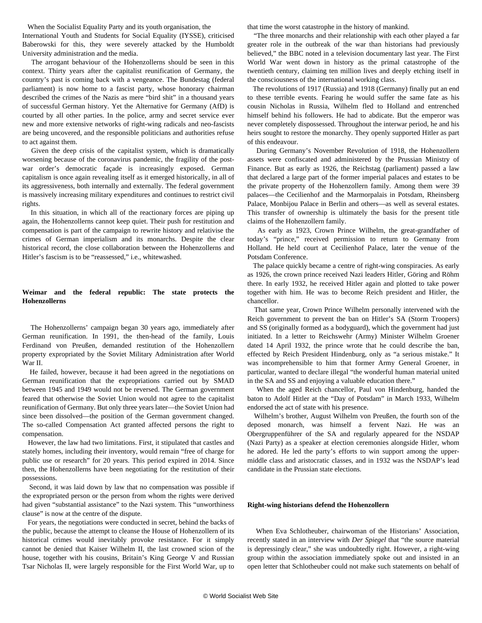When the Socialist Equality Party and its youth organisation, the

International Youth and Students for Social Equality (IYSSE), [criticised](/en/articles/2014/10/18/humb-o18.html) Baberowski for this, they were severely attacked by the Humboldt University administration and the media.

 The arrogant behaviour of the Hohenzollerns should be seen in this context. Thirty years after the capitalist reunification of Germany, the country's past is coming back with a vengeance. The Bundestag (federal parliament) is now home to a fascist party, whose honorary chairman described the crimes of the Nazis as mere "bird shit" in a thousand years of successful German history. Yet the Alternative for Germany (AfD) is courted by all other parties. In the police, army and secret service ever new and more extensive networks of right-wing radicals and neo-fascists are being uncovered, and the responsible politicians and authorities refuse to act against them.

 Given the deep crisis of the capitalist system, which is dramatically worsening because of the coronavirus pandemic, the fragility of the postwar order's democratic façade is increasingly exposed. German capitalism is once again revealing itself as it emerged historically, in all of its aggressiveness, both internally and externally. The federal government is massively increasing military expenditures and continues to restrict civil rights.

 In this situation, in which all of the reactionary forces are piping up again, the Hohenzollerns cannot keep quiet. Their push for restitution and compensation is part of the campaign to rewrite history and relativise the crimes of German imperialism and its monarchs. Despite the clear historical record, the close collaboration between the Hohenzollerns and Hitler's fascism is to be "reassessed," i.e., whitewashed.

#### **Weimar and the federal republic: The state protects the Hohenzollerns**

 The Hohenzollerns' campaign began 30 years ago, immediately after German reunification. In 1991, the then-head of the family, Louis Ferdinand von Preußen, demanded restitution of the Hohenzollern property expropriated by the Soviet Military Administration after World War II.

 He failed, however, because it had been agreed in the negotiations on German reunification that the expropriations carried out by SMAD between 1945 and 1949 would not be reversed. The German government feared that otherwise the Soviet Union would not agree to the capitalist reunification of Germany. But only three years later—the Soviet Union had since been dissolved—the position of the German government changed. The so-called Compensation Act granted affected persons the right to compensation.

 However, the law had two limitations. First, it stipulated that castles and stately homes, including their inventory, would remain "free of charge for public use or research" for 20 years. This period expired in 2014. Since then, the Hohenzollerns have been negotiating for the restitution of their possessions.

 Second, it was laid down by law that no compensation was possible if the expropriated person or the person from whom the rights were derived had given "substantial assistance" to the Nazi system. This "unworthiness clause" is now at the centre of the dispute.

 For years, the negotiations were conducted in secret, behind the backs of the public, because the attempt to cleanse the House of Hohenzollern of its historical crimes would inevitably provoke resistance. For it simply cannot be denied that Kaiser Wilhelm II, the last crowned scion of the house, together with his cousins, Britain's King George V and Russian Tsar Nicholas II, were largely responsible for the First World War, up to

that time the worst catastrophe in the history of mankind.

 "The three monarchs and their relationship with each other played a far greater role in the outbreak of the war than historians had previously believed," the BBC noted in a television documentary last year. The First World War went down in history as the primal catastrophe of the twentieth century, claiming ten million lives and deeply etching itself in the consciousness of the international working class.

 The revolutions of 1917 (Russia) and 1918 (Germany) finally put an end to these terrible events. Fearing he would suffer the same fate as his cousin Nicholas in Russia, Wilhelm fled to Holland and entrenched himself behind his followers. He had to abdicate. But the emperor was never completely dispossessed. Throughout the interwar period, he and his heirs sought to restore the monarchy. They openly supported Hitler as part of this endeavour.

 During Germany's November Revolution of 1918, the Hohenzollern assets were confiscated and administered by the Prussian Ministry of Finance. But as early as 1926, the Reichstag (parliament) passed a law that declared a large part of the former imperial palaces and estates to be the private property of the Hohenzollern family. Among them were 39 palaces—the Cecilienhof and the Marmorpalais in Potsdam, Rheinsberg Palace, Monbijou Palace in Berlin and others—as well as several estates. This transfer of ownership is ultimately the basis for the present title claims of the Hohenzollern family.

 As early as 1923, Crown Prince Wilhelm, the great-grandfather of today's "prince," received permission to return to Germany from Holland. He held court at Cecilienhof Palace, later the venue of the Potsdam Conference.

 The palace quickly became a centre of right-wing conspiracies. As early as 1926, the crown prince received Nazi leaders Hitler, Göring and Röhm there. In early 1932, he received Hitler again and plotted to take power together with him. He was to become Reich president and Hitler, the chancellor.

 That same year, Crown Prince Wilhelm personally intervened with the Reich government to prevent the ban on Hitler's SA (Storm Troopers) and SS (originally formed as a bodyguard), which the government had just initiated. In a letter to Reichswehr (Army) Minister Wilhelm Groener dated 14 April 1932, the prince wrote that he could describe the ban, effected by Reich President Hindenburg, only as "a serious mistake." It was incomprehensible to him that former Army General Groener, in particular, wanted to declare illegal "the wonderful human material united in the SA and SS and enjoying a valuable education there."

 When the aged Reich chancellor, Paul von Hindenburg, handed the baton to Adolf Hitler at the "Day of Potsdam" in March 1933, Wilhelm endorsed the act of state with his presence.

 Wilhelm's brother, August Wilhelm von Preußen, the fourth son of the deposed monarch, was himself a fervent Nazi. He was an Obergruppenführer of the SA and regularly appeared for the NSDAP (Nazi Party) as a speaker at election ceremonies alongside Hitler, whom he adored. He led the party's efforts to win support among the uppermiddle class and aristocratic classes, and in 1932 was the NSDAP's lead candidate in the Prussian state elections.

#### **Right-wing historians defend the Hohenzollern**

 When Eva Schlotheuber, chairwoman of the Historians' Association, recently stated in an interview with *Der Spiegel* that "the source material is depressingly clear," she was undoubtedly right. However, a right-wing group within the association immediately spoke out and insisted in an open letter that Schlotheuber could not make such statements on behalf of